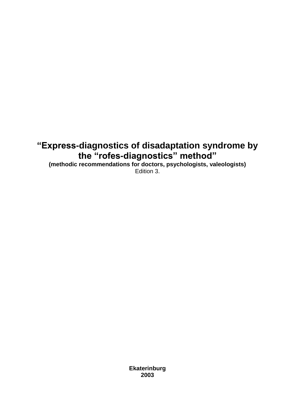# **"Express-diagnostics of disadaptation syndrome by the "rofes-diagnostics" method"**

**(methodic recommendations for doctors, psychologists, valeologists)** Edition 3.

> **Ekaterinburg 2003**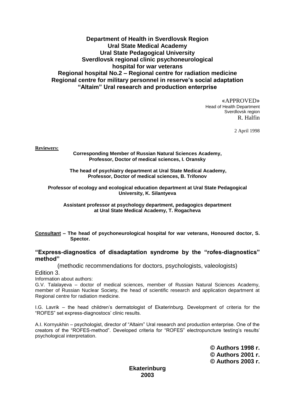# **Department of Health in Sverdlovsk Region Ural State Medical Academy Ural State Pedagogical University Sverdlovsk regional clinic psychoneurological hospital for war veterans Regional hospital No.2 – Regional centre for radiation medicine Regional centre for military personnel in reserve's social adaptation "Altaim" Ural research and production enterprise**

«APPROVED» Head of Health Department Sverdlovsk region R. Halfin

2 April 1998

**Reviewers:**

**Corresponding Member of Russian Natural Sciences Academy, Professor, Doctor of medical sciences, I. Oransky**

**The head of psychiatry department at Ural State Medical Academy, Professor, Doctor of medical sciences, B. Trifonov**

**Professor of ecology and ecological education department at Ural State Pedagogical University, K. Silantyeva**

**Assistant professor at psychology department, pedagogics department at Ural State Medical Academy, T. Rogacheva** 

**Consultant – The head of psychoneurological hospital for war veterans, Honoured doctor, S. Spector.**

#### **"Express-diagnostics of disadaptation syndrome by the "rofes-diagnostics" method"**

(methodic recommendations for doctors, psychologists, valeologists)

Edition 3.

Information about authors:

G.V. Talalayeva – doctor of medical sciences, member of Russian Natural Sciences Academy, member of Russian Nuclear Society, the head of scientific research and application department at Regional centre for radiation medicine.

I.G. Lavrik – the head children's dermatologist of Ekaterinburg. Development of criteria for the "ROFES" set express-diagnostocs' clinic results.

A.I. Kornyukhin – psychologist, director of "Altaim" Ural research and production enterprise. One of the creators of the "ROFES-method". Developed criteria for "ROFES" electropuncture testing's results' psychological interpretation.

> **© Authors 1998 г. © Authors 2001 г. © Authors 2003 г.**

**Ekaterinburg 2003**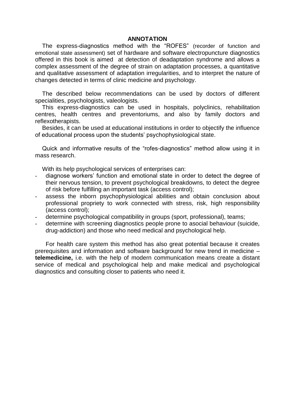#### **ANNOTATION**

The express-diagnostics method with the "ROFES" (recorder of function and emotional state assessment) set of hardware and software electropuncture diagnostics offered in this book is aimed at detection of deadaptation syndrome and allows a complex assessment of the degree of strain on adaptation processes, a quantitative and qualitative assessment of adaptation irregularities, and to interpret the nature of changes detected in terms of clinic medicine and psychology.

The described below recommendations can be used by doctors of different specialities, psychologists, valeologists.

This express-diagnostics can be used in hospitals, polyclinics, rehabilitation centres, health centres and preventoriums, and also by family doctors and reflexotherapists.

Besides, it can be used at educational institutions in order to objectify the influence of educational process upon the students' psychophysiological state.

Quick and informative results of the "rofes-diagnostics" method allow using it in mass research.

With its help psychological services of enterprises can:

- diagnose workers' function and emotional state in order to detect the degree of their nervous tension, to prevent psychological breakdowns, to detect the degree of risk before fulfilling an important task (access control);
- assess the inborn psychophysiological abilities and obtain conclusion about professional propriety to work connected with stress, risk, high responsibility (access control);
- determine psychological compatibility in groups (sport, professional), teams;
- determine with screening diagnostics people prone to asocial behaviour (suicide, drug-addiction) and those who need medical and psychological help.

For health care system this method has also great potential because it creates prerequisites and information and software background for new trend in medicine – **telemedicine,** i.e. with the help of modern communication means create a distant service of medical and psychological help and make medical and psychological diagnostics and consulting closer to patients who need it.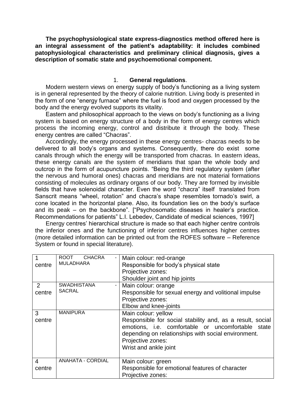**The psychophysiological state express-diagnostics method offered here is an integral assessment of the patient's adaptability: it includes combined patophysiological characteristics and preliminary clinical diagnosis, gives a description of somatic state and psychoemotional component.**

#### 1. **General regulations**.

Modern western views on energy supply of body's functioning as a living system is in general represented by the theory of calorie nutrition. Living body is presented in the form of one "energy furnace" where the fuel is food and oxygen processed by the body and the energy evolved supports its vitality.

Eastern and philosophical approach to the views on body's functioning as a living system is based on energy structure of a body in the form of energy centres which process the incoming energy, control and distribute it through the body. These energy centres are called "Chacras".

Accordingly, the energy processed in these energy centres- chacras needs to be delivered to all body's organs and systems. Consequently, there do exist some canals through which the energy will be transported from chacras. In eastern ideas, these energy canals are the system of meridians that span the whole body and outcrop in the form of acupuncture points. "Being the third regulatory system (after the nervous and humoral ones) chacras and meridians are not material formations consisting of molecules as ordinary organs of our body. They are formed by invisible fields that have solenoidal character. Even the word "chacra" itself translated from Sanscrit means "wheel, rotation" and chacra's shape resembles tornado's swirl, a cone located in the horizontal plane. Also, its foundation lies on the body's surface and its peak – on the backbone". ["Psychosomatic diseases in healer's practice. Recommendations for patients" L.I. Lebedev, Candidate of medical sciences, 1997]

Energy centres' hierarchical structure is made so that each higher centre controls the inferior ones and the functioning of inferior centres influences higher centres (more detailed information can be printed out from the ROFES software – Reference System or found in special literature).

| 1<br>centre              | <b>ROOT</b><br><b>CHACRA</b><br><b>MULADHARA</b> | Main colour: red-orange<br>Responsible for body's physical state<br>Projective zones:<br>Shoulder joint and hip joints                                                                                                                     |
|--------------------------|--------------------------------------------------|--------------------------------------------------------------------------------------------------------------------------------------------------------------------------------------------------------------------------------------------|
| 2<br>centre              | <b>SWADHISTANA</b><br><b>SACRAL</b>              | Main colour: orange<br>Responsible for sexual energy and volitional impulse<br>Projective zones:<br>Elbow and knee-joints                                                                                                                  |
| 3<br>centre              | <b>MANIPURA</b>                                  | Main colour: yellow<br>Responsible for social stability and, as a result, social<br>emotions, i.e. comfortable or uncomfortable state<br>depending on relationships with social environment.<br>Projective zones:<br>Wrist and ankle joint |
| $\overline{4}$<br>centre | <b>ANAHATA - CORDIAL</b>                         | Main colour: green<br>Responsible for emotional features of character<br>Projective zones:                                                                                                                                                 |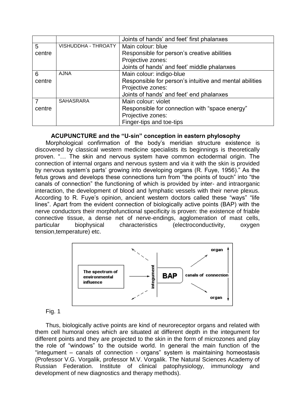|        |                            | Joints of hands' and feet' first phalanxes              |  |  |
|--------|----------------------------|---------------------------------------------------------|--|--|
| 5      | <b>VISHUDDHA - THROATY</b> | Main colour: blue                                       |  |  |
| centre |                            | Responsible for person's creative abilities             |  |  |
|        |                            | Projective zones:                                       |  |  |
|        |                            | Joints of hands' and feet' middle phalanxes             |  |  |
| 6      | <b>AJNA</b>                | Main colour: indigo-blue                                |  |  |
| centre |                            | Responsible for person's intuitive and mental abilities |  |  |
|        |                            | Projective zones:                                       |  |  |
|        |                            | Joints of hands' and feet' end phalanxes                |  |  |
|        | <b>SAHASRARA</b>           | Main colour: violet                                     |  |  |
| centre |                            | Responsible for connection with "space energy"          |  |  |
|        |                            | Projective zones:                                       |  |  |
|        |                            | Finger-tips and toe-tips                                |  |  |

# **ACUPUNCTURE and the "U-sin" conception in eastern phylosophy**

Morphological confirmation of the body's meridian structure existence is discovered by classical western medicine specialists its beginnings is theoretically proven. "… The skin and nervous system have common ectodermal origin. The connection of internal organs and nervous system and via it with the skin is provided by nervous system's parts' growing into developing organs (R. Fuye, 1956)." As the fetus grows and develops these connections turn from "the points of touch" into "the canals of connection" the functioning of which is provided by inter- and intraorganic interaction, the development of blood and lymphatic vessels with their nerve plexus. According to R. Fuye's opinion, ancient western doctors called these "ways" "life lines". Apart from the evident connection of biologically active points (BAP) with the nerve conductors their morphofunctional specificity is proven: the existence of friable connective tissue, a dense net of nerve-endings, agglomeration of mast cells, particular biophysical characteristics (electroconductivity, oxygen tension,temperature) etc.



#### Fig. 1

Thus, biologically active points are kind of neuroreceptor organs and related with them cell humoral ones which are situated at different depth in the integument for different points and they are projected to the skin in the form of microzones and play the role of "windows" to the outside world. In general the main function of the "integument – canals of connection - organs" system is maintaining homeostasis (Professor V.G. Vorgalik, professor M.V. Vorgalik. The Natural Sciences Academy of Russian Federation. Institute of clinical patophysiology, immunology and development of new diagnostics and therapy methods).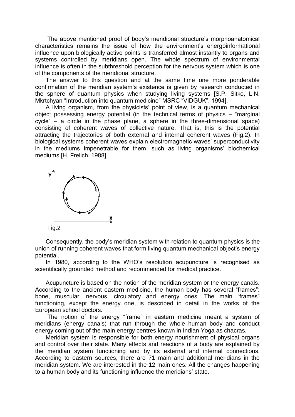The above mentioned proof of body's meridional structure's morphoanatomical characteristics remains the issue of how the environment's energoinformational influence upon biologically active points is transferred almost instantly to organs and systems controlled by meridians open. The whole spectrum of environmental influence is often in the subthreshold perception for the nervous system which is one of the components of the meridional structure.

The answer to this question and at the same time one more ponderable confirmation of the meridian system's existence is given by research conducted in the sphere of quantum physics when studying living systems [S.P. Sitko, L.N. Mkrtchyan "Introduction into quantum medicine" MSRC "VIDGUK", 1994].

A living organism, from the physicists' point of view, is a quantum mechanical object possessing energy potential (in the technical terms of physics – "marginal cycle" – a circle in the phase plane, a sphere in the three-dimensional space) consisting of coherent waves of collective nature. That is, this is the potential attracting the trajectories of both external and internal coherent waves (Fig.2). In biological systems coherent waves explain electromagnetic waves' superconductivity in the mediums impenetrable for them, such as living organisms' biochemical mediums [H. Frelich, 1988]



Consequently, the body's meridian system with relation to quantum physics is the union of running coherent waves that form living quantum mechanical object's energy potential.

In 1980, according to the WHO's resolution acupuncture is recognised as scientifically grounded method and recommended for medical practice.

Acupuncture is based on the notion of the meridian system or the energy canals. According to the ancient eastern medicine, the human body has several "frames": bone, muscular, nervous, circulatory and energy ones. The main "frames" functioning, except the energy one, is described in detail in the works of the European school doctors.

The notion of the energy "frame" in eastern medicine meant a system of meridians (energy canals) that run through the whole human body and conduct energy coming out of the main energy centres known in Indian Yoga as chacras.

Meridian system is responsible for both energy nourishment of physical organs and control over their state. Many effects and reactions of a body are explained by the meridian system functioning and by its external and internal connections. According to eastern sources, there are 71 main and additional meridians in the meridian system. We are interested in the 12 main ones. All the changes happening to a human body and its functioning influence the meridians' state.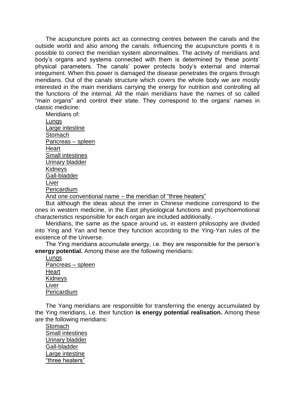The acupuncture points act as connecting centres between the canals and the outside world and also among the canals. Influencing the acupuncture points it is possible to correct the meridian system abnormalities. The activity of meridians and body's organs and systems connected with them is determined by these points' physical parameters. The canals' power protects body's external and internal integument. When this power is damaged the disease penetrates the organs through meridians. Out of the canals structure which covers the whole body we are mostly interested in the main meridians carrying the energy for nutrition and controlling all the functions of the internal. All the main meridians have the names of so called "main organs" and control their state. They correspond to the organs' names in classic medicine:

Meridians of: **Lungs** Large intestine **Stomach** Pancreas – spleen **Heart** Small intestines Urinary bladder Kidneys Gall-bladder Liver Pericardium And one conventional name – the meridian of "three heaters"

But although the ideas about the inner in Chinese medicine correspond to the ones in western medicine, in the East physiological functions and psychoemotional characteristics responsible for each organ are included additionally.

Meridians, the same as the space around us, in eastern philosophy are divided into Ying and Yan and hence they function according to the Ying-Yan rules of the existence of the Universe.

The Ying meridians accumulate energy, i.e. they are responsible for the person's **energy potential.** Among these are the following meridians:

**Lungs** Pancreas – spleen Heart **Kidneys** Liver Pericardium

The Yang meridians are responsible for transferring the energy accumulated by the Ying meridians, i.e. their function **is energy potential realisation.** Among these are the following meridians:

**Stomach** Small intestines Urinary bladder Gall-bladder Large intestine "three heaters"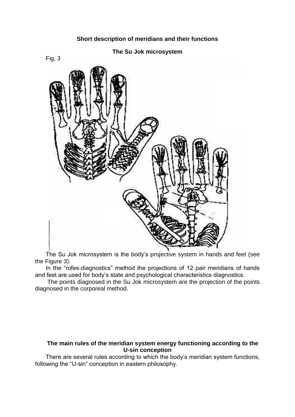#### **The Su Jok microsystem**





The Su Jok microsystem is the body's projective system in hands and feet (see the Figure 3).

In the "rofes-diagnostics" method the projections of 12 pair meridians of hands and feet are used for body's state and psychological characteristics diagnostics.

The points diagnosed in the Su Jok microsystem are the projection of the points diagnosed in the corporeal method.

#### **The main rules of the meridian system energy functioning according to the U-sin conception**

There are several rules according to which the body's meridian system functions, following the "U-sin" conception in eastern philosophy.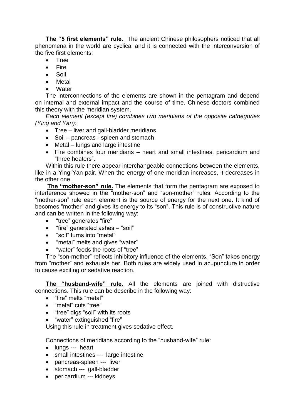**The "5 first elements" rule.** The ancient Chinese philosophers noticed that all phenomena in the world are cyclical and it is connected with the interconversion of the five first elements:

- Tree
- Fire
- Soil
- Metal
- **Water**

The interconnections of the elements are shown in the pentagram and depend on internal and external impact and the course of time. Chinese doctors combined this theory with the meridian system.

*Each element (except fire) combines two meridians of the opposite cathegories (Ying and Yan):*

- Tree liver and gall-bladder meridians
- Soil pancreas spleen and stomach
- Metal lungs and large intestine
- Fire combines four meridians heart and small intestines, pericardium and "three heaters".

Within this rule there appear interchangeable connections between the elements, like in a Ying-Yan pair. When the energy of one meridian increases, it decreases in the other one.

**The "mother-son" rule.** The elements that form the pentagram are exposed to interference showed in the "mother-son" and "son-mother" rules. According to the "mother-son" rule each element is the source of energy for the next one. It kind of becomes "mother" and gives its energy to its "son". This rule is of constructive nature and can be written in the following way:

- "tree" generates "fire"
- "fire" generated ashes "soil"
- "soil" turns into "metal"
- "metal" melts and gives "water"
- "water" feeds the roots of "tree"

The "son-mother" reflects inhibitory influence of the elements. "Son" takes energy from "mother" and exhausts her. Both rules are widely used in acupuncture in order to cause exciting or sedative reaction.

**The "husband-wife" rule.** All the elements are joined with distructive connections. This rule can be describe in the following way:

- "fire" melts "metal"
- "metal" cuts "tree"
- "tree" digs "soil" with its roots
- "water" extinguished "fire"

Using this rule in treatment gives sedative effect.

Connections of meridians according to the "husband-wife" rule:

- lungs --- heart
- small intestines --- large intestine
- pancreas-spleen --- liver
- stomach --- gall-bladder
- pericardium --- kidneys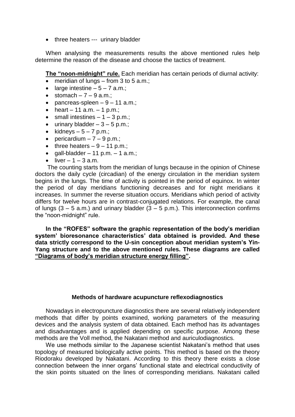• three heaters --- urinary bladder

When analysing the measurements results the above mentioned rules help determine the reason of the disease and choose the tactics of treatment.

**The "noon-midnight" rule.** Each meridian has certain periods of diurnal activity:

- $\bullet$  meridian of lungs from 3 to 5 a.m.:
- large intestine  $-5 7$  a.m.;
- $\bullet$  stomach  $7 9$  a.m.;
- $\bullet$  pancreas-spleen  $-9 11$  a.m.;
- heart 11 a.m. 1 p.m.;
- $\bullet$  small intestines  $-1 3$  p.m.;
- $\bullet$  urinary bladder  $-3 5$  p.m.;
- kidneys  $-5 7$  p.m.;
- $\bullet$  pericardium  $-7 9$  p.m.;
- $\bullet$  three heaters  $-9 11$  p.m.;
- $\bullet$  gall-bladder 11 p.m. 1 a.m.;
- $\bullet$  liver 1 3 a.m.

The counting starts from the meridian of lungs because in the opinion of Chinese doctors the daily cycle (circadian) of the energy circulation in the meridian system begins in the lungs. The time of activity is pointed in the period of equinox. In winter the period of day meridians functioning decreases and for night meridians it increases. In summer the reverse situation occurs. Meridians which period of activity differs for twelve hours are in contrast-conjugated relations. For example, the canal of lungs  $(3 - 5 a.m.)$  and urinary bladder  $(3 - 5 p.m.)$ . This interconnection confirms the "noon-midnight" rule.

**In the "ROFES" software the graphic representation of the body's meridian system' bioresonance characteristics' data obtained is provided. And these data strictly correspond to the U-sin conception about meridian system's Yin-Yang structure and to the above mentioned rules. These diagrams are called "Diagrams of body's meridian structure energy filling".**

#### **Methods of hardware acupuncture reflexodiagnostics**

Nowadays in electropuncture diagnostics there are several relatively independent methods that differ by points examined, working parameters of the measuring devices and the analysis system of data obtained. Each method has its advantages and disadvantages and is applied depending on specific purpose. Among these methods are the Voll method, the Nakatani method and auriculodiagnostics.

We use methods similar to the Japanese scientist Nakatani's method that uses topology of measured biologically active points. This method is based on the theory Riodoraku developed by Nakatani. According to this theory there exists a close connection between the inner organs' functional state and electrical conductivity of the skin points situated on the lines of corresponding meridians. Nakatani called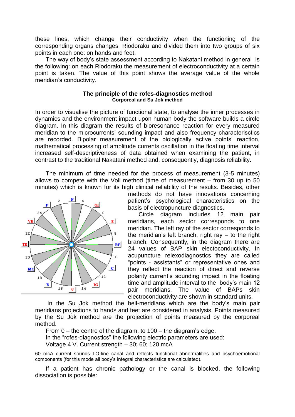these lines, which change their conductivity when the functioning of the corresponding organs changes, Riodoraku and divided them into two groups of six points in each one: on hands and feet.

The way of body's state assessment according to Nakatani method in general is the following: on each Riodoraku the measurement of electroconductivity at a certain point is taken. The value of this point shows the average value of the whole meridian's conductivity.

#### **The principle of the rofes-diagnostics method Corporeal and Su Jok method**

In order to visualise the picture of functional state, to analyse the inner processes in dynamics and the environment impact upon human body the software builds a circle diagram. In this diagram the results of bioresonance reaction for every measured meridian to the microcurrents' sounding impact and also frequency characterisctics are recorded. Bipolar measurement of the biologically active points' reaction, mathematical processing of amplitude currents oscillation in the floating time interval increased self-descriptiveness of data obtained when examining the patient, in contrast to the traditional Nakatani method and, consequently, diagnosis reliability.

The minimum of time needed for the process of measurement (3-5 minutes) allows to compete with the Voll method (time of measurement – from 30 up to 50 minutes) which is known for its high clinical reliability of the results. Besides, other



methods do not have innovations concerning patient's psychological characteristics on the basis of electropuncture diagnostics.

Circle diagram includes 12 main pair meridians, each sector corresponds to one meridian. The left ray of the sector corresponds to the meridian's left branch, right ray  $-$  to the right branch. Consequently, in the diagram there are 24 values of BAP skin electoconductivity. In acupuncture relexodiagnostics they are called "points - assistants" or representative ones and they reflect the reaction of direct and reverse polarity current's sounding impact in the floating time and amplitude interval to the body's main 12 pair meridians. The value of BAPs skin electroconductivity are shown in standard units.

In the Su Jok method the bell-meridians which are the body's main pair meridians projections to hands and feet are considered in analysis. Points measured by the Su Jok method are the projection of points measured by the corporeal method.

From 0 – the centre of the diagram, to 100 – the diagram's edge.

In the "rofes-diagnostics" the following electric parameters are used:

Voltage 4 V. Current strength – 30; 60; 120 mcA

60 mcA current sounds LO-line canal and reflects functional abnormalities and psychoemotional components (for this mode all body's integral characteristics are calculated).

If a patient has chronic pathology or the canal is blocked, the following dissociation is possible: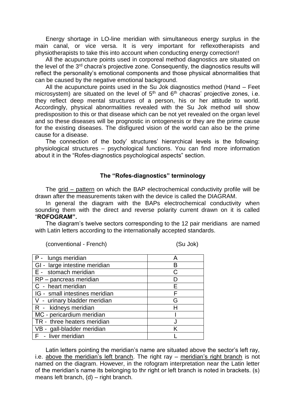Energy shortage in LO-line meridian with simultaneous energy surplus in the main canal, or vice versa. It is very important for reflexotherapists and physiotherapists to take this into account when conducting energy correction!!

All the acupuncture points used in corporeal method diagnostics are situated on the level of the 3<sup>rd</sup> chacra's projective zone. Consequently, the diagnostics results will reflect the personality's emotional components and those physical abnormalities that can be caused by the negative emotional background.

All the acupuncture points used in the Su Jok diagnostics method (Hand – Feet microsystem) are situated on the level of  $5<sup>th</sup>$  and  $6<sup>th</sup>$  chacras' projective zones, i.e. they reflect deep mental structures of a person, his or her attitude to world. Accordingly, physical abnormalities revealed with the Su Jok method will show predisposition to this or that disease which can be not yet revealed on the organ level and so these diseases will be prognostic in ontogenesis or they are the prime cause for the existing diseases. The disfigured vision of the world can also be the prime cause for a disease.

The connection of the body' structures' hierarchical levels is the following: physiological structures – psychological functions. You can find more information about it in the "Rofes-diagnostics psychological aspects" section.

#### **The "Rofes-diagnostics" terminology**

The grid – pattern on which the BAP electrochemical conductivity profile will be drawn after the measurements taken with the device is called the DIAGRAM.

In general the diagram with the BAPs electrochemical conductivity when sounding them with the direct and reverse polarity current drawn on it is called "**ROFOGRAM".**

The diagram's twelve sectors corresponding to the 12 pair meridians are named with Latin letters according to the internationally accepted standards.

| (conventional - French) |  |  |
|-------------------------|--|--|
|-------------------------|--|--|

(Su Jok)

| P - lungs meridian             | А |
|--------------------------------|---|
| GI - large intestine meridian  | в |
| E - stomach meridian           | C |
| RP - pancreas meridian         |   |
| C - heart meridian             | F |
| IG - small intestines meridian |   |
| V - urinary bladder meridian   | G |
| R - kidneys meridian           |   |
| MC - pericardium meridian      |   |
| TR - three heaters meridian    |   |
| VB - gall-bladder meridian     | K |
| F - liver meridian             |   |

Latin letters pointing the meridian's name are situated above the sector's left ray, i.e. above the meridian's left branch. The right ray – meridian's right branch is not named on the diagram. However, in the rofogram interpretation near the Latin letter of the meridian's name its belonging to thr right or left branch is noted in brackets. (s) means left branch, (d) – right branch.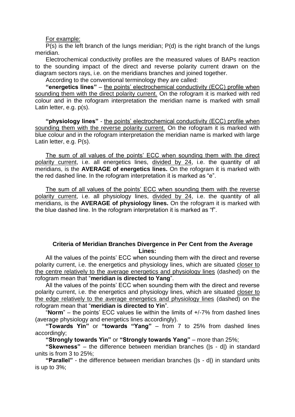#### For example:

P(s) is the left branch of the lungs meridian; P(d) is the right branch of the lungs meridian.

Electrochemical conductivity profiles are the measured values of BAPs reaction to the sounding impact of the direct and reverse polarity current drawn on the diagram sectors rays, i.e. on the meridians branches and joined together.

According to the conventional terminology they are called:

**"energetics lines"** – the points' electrochemical conductivity (ECC) profile when sounding them with the direct polarity current. On the rofogram it is marked with red colour and in the rofogram interpretation the meridian name is marked with small Latin letter, e.g. p(s).

**"physiology lines"** - the points' electrochemical conductivity (ECC) profile when sounding them with the reverse polarity current. On the rofogram it is marked with blue colour and in the rofogram interpretation the meridian name is marked with large Latin letter, e.g. P(s).

The sum of all values of the points' ECC when sounding them with the direct polarity current, i.e. all energetics lines, divided by 24, i.e. the quantity of all meridians, is the **AVERAGE of energetics lines.** On the rofogram it is marked with the red dashed line. In the rofogram interpretation it is marked as "e".

The sum of all values of the points' ECC when sounding them with the reverse polarity current, i.e. all physiology lines, divided by 24, i.e. the quantity of all meridians, is the **AVERAGE of physiology lines.** On the rofogram it is marked with the blue dashed line. In the rofogram interpretation it is marked as "f".

#### **Criteria of Meridian Branches Divergence in Per Cent from the Average Lines:**

All the values of the points' ECC when sounding them with the direct and reverse polarity current, i.e. the energetics and physiology lines, which are situated closer to the centre relatively to the average energetics and physiology lines (dashed) on the rofogram mean that "**meridian is directed to Yang**".

All the values of the points' ECC when sounding them with the direct and reverse polarity current, i.e. the energetics and physiology lines, which are situated closer to the edge relatively to the average energetics and physiology lines (dashed) on the rofogram mean that "**meridian is directed to Yin**".

"**Norm**" – the points' ECC values lie within the limits of +/-7% from dashed lines (average physiology and energetics lines accordingly).

**"Towards Yin"** or **"towards "Yang"** – from 7 to 25% from dashed lines accordingly;

**"Strongly towards Yin"** or **"Strongly towards Yang"** – more than 25%;

**"Skewness"** – the difference between meridian branches (|s - d|) in standard units is from 3 to 25%;

**"Parallel"** - the difference between meridian branches (|s - d|) in standard units is up to 3%;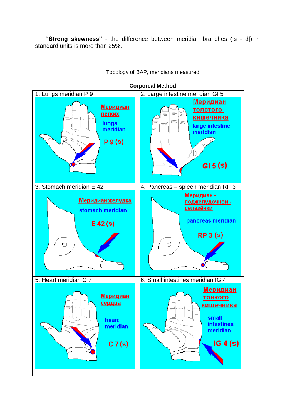**"Strong skewness"** - the difference between meridian branches (|s - d|) in standard units is more than 25%.



Topology of BAP, meridians measured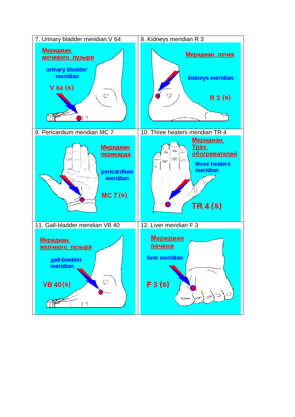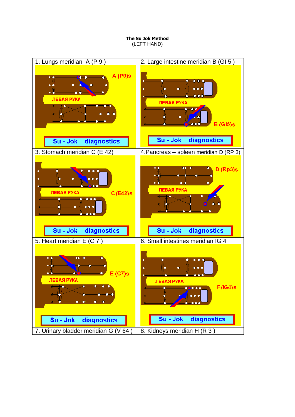**The Su Jok Method** (LEFT HAND)

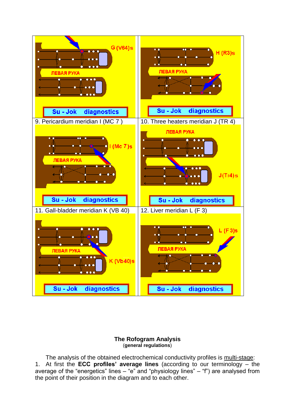

#### **The Rofogram Analysis** (**general regulations**)

The analysis of the obtained electrochemical conductivity profiles is multi-stage: 1. At first the **ECC profiles' average lines** (according to our terminology – the average of the "energetics" lines – "e" and "physiology lines" – "f") are analysed from the point of their position in the diagram and to each other.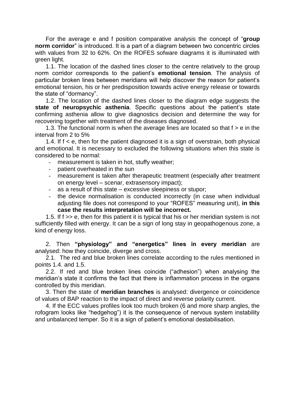For the average e and f position comparative analysis the concept of "**group norm corridor**" is introduced. It is a part of a diagram between two concentric circles with values from 32 to 62%. On the ROFES sofware diagrams it is illuminated with green light.

1.1. The location of the dashed lines closer to the centre relatively to the group norm corridor corresponds to the patient's **emotional tension**. The analysis of particular broken lines between meridians will help discover the reason for patient's emotional tension, his or her predisposition towards active energy release or towards the state of "dormancy".

1.2. The location of the dashed lines closer to the diagram edge suggests the **state of neuropsychic asthenia**. Specific questions about the patient's state confirming asthenia allow to give diagnostics decision and determine the way for recovering together with treatment of the diseases diagnosed.

1.3. The functional norm is when the average lines are located so that  $f > e$  in the interval from 2 to 5%

1.4. If f < e, then for the patient diagnosed it is a sign of overstrain, both physical and emotional. It is necessary to excluded the following situations when this state is considered to be normal:

- measurement is taken in hot, stuffy weather;
- patient overheated in the sun
- measurement is taken after therapeutic treatment (especially after treatment on energy level – scenar, extrasensory impact);
- as a result of this state excessive sleepiness or stupor;
- the device normalisation is conducted incorrectly (in case when individual adjusting file does not correspond to your "ROFES" measuring unit), **in this case the results interpretation will be incorrect.**

1.5. If f >> e, then for this patient it is typical that his or her meridian system is not sufficiently filled with energy. It can be a sign of long stay in geopathogenous zone, a kind of energy loss.

2. Then **"physiology" and "energetics" lines in every meridian** are analysed: how they coincide, diverge and cross.

2.1. The red and blue broken lines correlate according to the rules mentioned in points 1.4. and 1.5.

2.2. If red and blue broken lines coincide ("adhesion") when analysing the meridian's state it confirms the fact that there is inflammation process in the organs controlled by this meridian.

3. Then the state of **meridian branches** is analysed: divergence or coincidence of values of BAP reaction to the impact of direct and reverse polarity current.

4. If the ECC values profiles look too much broken (6 and more sharp angles, the rofogram looks like "hedgehog") it is the consequence of nervous system instability and unbalanced temper. So it is a sign of patient's emotional destabilisation.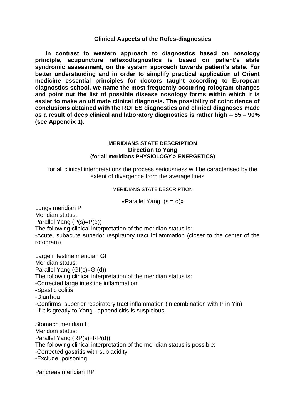#### **Clinical Aspects of the Rofes-diagnostics**

**In contrast to western approach to diagnostics based on nosology principle, acupuncture reflexodiagnostics is based on patient's state syndromic assessment, on the system approach towards patient's state. For better understanding and in order to simplify practical application of Orient medicine essential principles for doctors taught according to European diagnostics school, we name the most frequently occurring rofogram changes and point out the list of possible disease nosology forms within which it is easier to make an ultimate clinical diagnosis. The possibility of coincidence of conclusions obtained with the ROFES diagnostics and clinical diagnoses made as a result of deep clinical and laboratory diagnostics is rather high – 85 – 90% (see Appendix 1).**

#### **MERIDIANS STATE DESCRIPTION Direction to Yang (for all meridians PHYSIOLOGY > ENERGETICS)**

for all clinical interpretations the process seriousness will be caracterised by the extent of divergence from the average lines

MERIDIANS STATE DESCRIPTION

«Parallel Yang  $(s = d)$ »

Lungs meridian P Meridian status: Parallel Yang (P(s)=P(d))

The following clinical interpretation of the meridian status is: -Acute, subacute superior respiratory tract inflammation (closer to the center of the rofogram)

Large intestine meridian GI Meridian status: Parallel Yang (GI(s)=GI(d)) The following clinical interpretation of the meridian status is: -Corrected large intestine inflammation -Spastic colitis -Diarrhea -Confirms superior respiratory tract inflammation (in combination with P in Yin) -If it is greatly to Yang , appendicitis is suspicious.

Stomach meridian E Meridian status: Parallel Yang (RP(s)=RP(d)) The following clinical interpretation of the meridian status is possible: -Corrected gastritis with sub acidity -Exclude poisoning

Pancreas meridian RP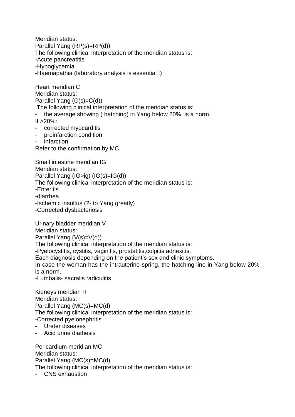Meridian status: Parallel Yang (RP(s)=RP(d)) The following clinical interpretation of the meridian status is: -Acute pancreatitis -Hypoglycemia -Haemapathia (laboratory analysis is essential !)

Heart meridian C Meridian status: Parallel Yang (C(s)=C(d))

The following clinical interpretation of the meridian status is:

the average showing ( hatching) in Yang below 20% is a norm.

If  $>20\%$ :

- corrected myocarditis
- preinfarction condition
- infarction

Refer to the confirmation by MC.

Small intestine meridian IG Meridian status: Parallel Yang (IG>ig) (IG(s)=IG(d)) The following clinical interpretation of the meridian status is: -Enteritis -diarrhea -Ischemic insultus (?- to Yang greatly) -Corrected dysbacteriosis

Urinary bladder meridian V Meridian status: Parallel Yang (V(s)=V(d)) The following clinical interpretation of the meridian status is: -Pyelocystitis, cystitis, vaginitis, prostatitis,colpitis,adnexitis. Each diagnosis depending on the patient's sex and clinic symptoms. In case the woman has the intrauterine spring, the hatching line in Yang below 20% is a norm.

-Lumbalis- sacralis radiculitis

Kidneys meridian R Meridian status: Parallel Yang (MC(s)=MC(d) The following clinical interpretation of the meridian status is: -Corrected pyelonephritis - Ureter diseases

- Acid urine diathesis

Pericardium meridian MC Meridian status: Parallel Yang (MC(s)=MC(d) The following clinical interpretation of the meridian status is:

- CNS exhaustion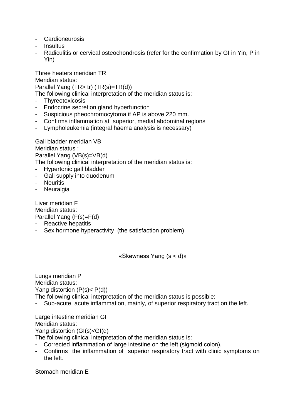- Cardioneurosis
- Insultus
- Radiculitis or cervical osteochondrosis (refer for the confirmation by GI in Yin, P in Yin)

Three heaters meridian TR Meridian status: Parallel Yang (TR> tr) (TR(s)=TR(d)) The following clinical interpretation of the meridian status is:

- 
- **Thyreotoxicosis**
- Endocrine secretion gland hyperfunction
- Suspicious pheochromocytoma if AP is above 220 mm.
- Confirms inflammation at superior, medial abdominal regions
- Lympholeukemia (integral haema analysis is necessary)

Gall bladder meridian VB Meridian status : Parallel Yang (VB(s)=VB(d) The following clinical interpretation of the meridian status is:

- Hypertonic gall bladder
- Gall supply into duodenum
- Neuritis
- **Neuralgia**

Liver meridian F Meridian status: Parallel Yang (F(s)=F(d)

- Reactive hepatitis
- Sex hormone hyperactivity (the satisfaction problem)

«Skewness Yang (s < d)»

Lungs meridian P Meridian status: Yang distortion (P(s)< P(d)) The following clinical interpretation of the meridian status is possible: Sub-acute, acute inflammation, mainly, of superior respiratory tract on the left.

Large intestine meridian GI Meridian status: Yang distortion (GI(s)<GI(d) The following clinical interpretation of the meridian status is:

- Corrected inflammation of large intestine on the left (sigmoid colon).
- Confirms the inflammation of superior respiratory tract with clinic symptoms on the left.

Stomach meridian E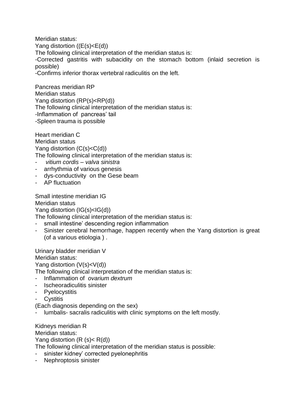Meridian status: Yang distortion ((E(s)<E(d)) The following clinical interpretation of the meridian status is: -Corrected gastritis with subacidity on the stomach bottom (inlaid secretion is possible) -Confirms inferior thorax vertebral radiculitis on the left.

Pancreas meridian RP Meridian status Yang distortion (RP(s)<RP(d)) The following clinical interpretation of the meridian status is: -Inflammation of pancreas' tail -Spleen trauma is possible

Heart meridian C Meridian status Yang distortion (C(s)<C(d)) The following clinical interpretation of the meridian status is:

- *vitium cordis – valva sinistra*
- arrhythmia of various genesis
- dys-conductivity on the Gese beam
- AP fluctuation

Small intestine meridian IG Meridian status Yang distortion (IG(s)<IG(d))

The following clinical interpretation of the meridian status is:

- small intestine' descending region inflammation
- Sinister cerebral hemorrhage, happen recently when the Yang distortion is great (of a various etiologia ) .

Urinary bladder meridian V Meridian status: Yang distortion (V(s)<V(d))

The following clinical interpretation of the meridian status is:

- Inflammation of *ovarium dextrum*
- Ischeoradiculitis sinister
- Pyelocystitis
- Cystitis

(Each diagnosis depending on the sex)

lumbalis- sacralis radiculitis with clinic symptoms on the left mostly.

Kidneys meridian R Meridian status: Yang distortion  $(R (s) < R(d))$ 

- The following clinical interpretation of the meridian status is possible:
- sinister kidney' corrected pyelonephritis
- Nephroptosis sinister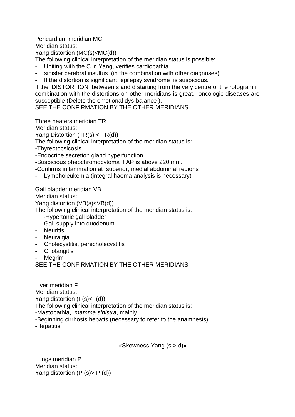Pericardium meridian MC

Meridian status:

Yang distortion (MC(s)<MC(d))

The following clinical interpretation of the meridian status is possible:

- Uniting with the C in Yang, verifies cardiopathia.
- sinister cerebral insultus (in the combination with other diagnoses)
- If the distortion is significant, epilepsy syndrome is suspicious.

If the DISTORTION between s and d starting from the very centre of the rofogram in combination with the distortions on other meridians is great, oncologic diseases are susceptible (Delete the emotional dys-balance ).

SEE THE CONFIRMATION BY THE OTHER MERIDIANS

Three heaters meridian TR

Meridian status:

Yang Distortion (TR(s) < TR(d))

The following clinical interpretation of the meridian status is:

-Thyreotocsicosis

-Endocrine secretion gland hyperfunction

-Suspicious pheochromocytoma if AP is above 220 mm.

-Confirms inflammation at superior, medial abdominal regions

Lympholeukemia (integral haema analysis is necessary)

Gall bladder meridian VB

Meridian status:

Yang distortion (VB(s)<VB(d))

The following clinical interpretation of the meridian status is:

-Hypertonic gall bladder

- Gall supply into duodenum
- Neuritis
- Neuralgia
- Cholecystitis, perecholecystitis
- Cholangitis
- **Megrim**

SEE THE CONFIRMATION BY THE OTHER MERIDIANS

Liver meridian F Meridian status: Yang distortion (F(s)<F(d)) The following clinical interpretation of the meridian status is: -Mastopathia, *mamma sinistra*, mainly. -Beginning cirrhosis hepatis (necessary to refer to the anamnesis) -Hepatitis

«Skewness Yang (s > d)»

Lungs meridian P Meridian status: Yang distortion  $(P (s) > P (d))$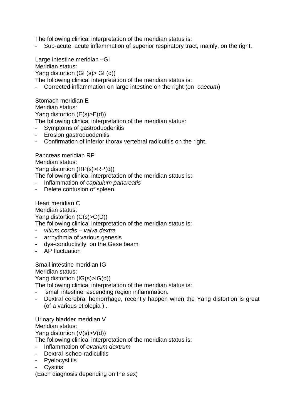The following clinical interpretation of the meridian status is:

Sub-acute, acute inflammation of superior respiratory tract, mainly, on the right.

Large intestine meridian –GI Meridian status: Yang distortion (GI (s)> GI (d)) The following clinical interpretation of the meridian status is: - Corrected inflammation on large intestine on the right (on *caecum*)

Stomach meridian E Meridian status: Yang distortion (E(s)>E(d))

The following clinical interpretation of the meridian status:

- Symptoms of gastroduodenitis
- Erosion gastroduodenitis
- Confirmation of inferior thorax vertebral radiculitis on the right.

Pancreas meridian RP Meridian status: Yang distortion (RP(s)>RP(d)) The following clinical interpretation of the meridian status is: - Inflammation of *capitulum pancreatis*

- Delete contusion of spleen.

Heart meridian C Meridian status: Yang distortion (C(s)>C(D)) The following clinical interpretation of the meridian status is:

- *vitium cordis – valva dextra*
- arrhythmia of various genesis
- dys-conductivity on the Gese beam
- AP fluctuation

Small intestine meridian IG

Meridian status:

Yang distortion (IG(s)>IG(d))

The following clinical interpretation of the meridian status is:

- small intestine' ascending region inflammation.
- Dextral cerebral hemorrhage, recently happen when the Yang distortion is great (of a various etiologia ) .

Urinary bladder meridian V Meridian status:

Yang distortion (V(s)>V(d))

The following clinical interpretation of the meridian status is:

- Inflammation of *ovarium dextrum*
- Dextral ischeo-radiculitis
- Pyelocystitis
- **Cystitis**

(Each diagnosis depending on the sex)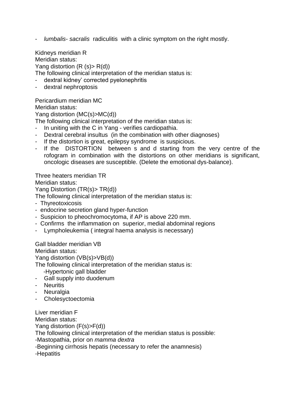- *lumbalis- sacralis* radiculitis with a clinic symptom on the right mostly.

Kidneys meridian R Meridian status: Yang distortion  $(R (s) > R(d))$ The following clinical interpretation of the meridian status is:

- dextral kidney' corrected pyelonephritis
- dextral nephroptosis

Pericardium meridian MC

Meridian status:

Yang distortion (MC(s)>MC(d))

The following clinical interpretation of the meridian status is:

- In uniting with the C in Yang verifies cardiopathia.
- Dextral cerebral insultus (in the combination with other diagnoses)
- If the distortion is great, epilepsy syndrome is suspicious.
- If the DISTORTION between s and d starting from the very centre of the rofogram in combination with the distortions on other meridians is significant, oncologic diseases are susceptible. (Delete the emotional dys-balance).

Three heaters meridian TR Meridian status:

Yang Distortion (TR(s)> TR(d))

The following clinical interpretation of the meridian status is:

- Thyreotoxicosis
- endocrine secretion gland hyper-function
- Suspicion to pheochromocytoma, if AP is above 220 mm.
- Confirms the inflammation on superior, medial abdominal regions
- Lympholeukemia ( integral haema analysis is necessary)

Gall bladder meridian VB Meridian status:

Yang distortion (VB(s)>VB(d))

The following clinical interpretation of the meridian status is:

- -Hypertonic gall bladder
- Gall supply into duodenum
- Neuritis
- Neuralgia
- **Cholesyctoectomia**

Liver meridian F Meridian status: Yang distortion (F(s)>F(d)) The following clinical interpretation of the meridian status is possible: -Mastopathia, prior on *mamma dextra* -Beginning cirrhosis hepatis (necessary to refer the anamnesis) -Hepatitis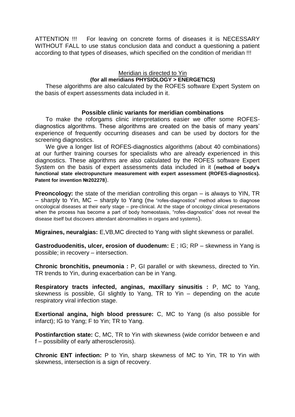ATTENTION !!! For leaving on concrete forms of diseases it is NECESSARY WITHOUT FALL to use status conclusion data and conduct a questioning a patient according to that types of diseases, which specified on the condition of meridian !!!

# Meridian is directed to Yin **(for all meridians PHYSIOLOGY > ENERGETICS)**

These algorithms are also calculated by the ROFES software Expert System on the basis of expert assessments data included in it.

#### **Possible clinic variants for meridian combinations**

To make the roforgams clinic interpretations easier we offer some ROFESdiagnostics algorithms. These algorithms are created on the basis of many years' experience of frequently occurring diseases and can be used by doctors for the screening diagnostics.

We give a longer list of ROFES-diagnostics algorithms (about 40 combinations) at our further training courses for specialists who are already experienced in this diagnostics. These algorithms are also calculated by the ROFES software Expert System on the basis of expert assessments data included in it (**method of body's functional state electropuncture measurement with expert assessment (ROFES-diagnostics). Patent for invention №202278**).

**Preoncology:** the state of the meridian controlling this organ – is always to YIN, TR – sharply to Yin, MC – sharply to Yang (the "rofes-diagnostics" method allows to diagnose oncological diseases at their early stage – pre-clinical. At the stage of oncology clinical presentations when the process has become a part of body homeostasis, "rofes-diagnostics" does not reveal the disease itself but discovers attendant abnormalities in organs and systems).

**Migraines, neuralgias:** E,VB,MC directed to Yang with slight skewness or parallel.

**Gastroduodenitis, ulcer, erosion of duodenum:** E ; IG; RP – skewness in Yang is possible; in recovery – intersection.

**Chronic bronchitis, pneumonia :** P, GI parallel or with skewness, directed to Yin. TR trends to Yin, during exacerbation can be in Yang.

**Respiratory tracts infected, anginas, maxillary sinusitis :** P, MC to Yang, skewness is possible, GI slightly to Yang, TR to Yin – depending on the acute respiratory viral infection stage.

**Exertional angina, high blood pressure:** C, MC to Yang (is also possible for infarct); IG to Yang; F to Yin; TR to Yang.

**Postinfarction state:** C, MC, TR to Yin with skewness (wide corridor between e and f – possibility of early atherosclerosis).

**Chronic ENT infection:** P to Yin, sharp skewness of MC to Yin, TR to Yin with skewness, intersection is a sign of recovery.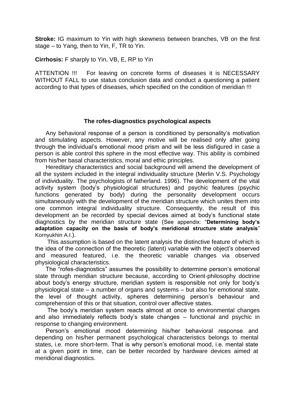**Stroke:** IG maximum to Yin with high skewness between branches, VB on the first stage – to Yang, then to Yin, F, TR to Yin.

**Cirrhosis:** F sharply to Yin, VB, E, RP to Yin

ATTENTION !!! For leaving on concrete forms of diseases it is NECESSARY WITHOUT FALL to use status conclusion data and conduct a questioning a patient according to that types of diseases, which specified on the condition of meridian !!!

#### **The rofes-diagnostics psychological aspects**

Any behavioral response of a person is conditioned by personality's motivation and stimulating aspects. However, any motive will be realised only after going through the individual's emotional mood prism and will be less disfigured in case a person is able control this sphere in the most effective way. This ability is combined from his/her basal characteristics, moral and ethic principles.

Hereditary characteristics and social background will amend the development of all the system included in the integral individuality structure (Merlin V.S. Psychology of individuality. The psychologists of fatherland. 1996). The development of the vital activity system (body's physiological structures) and psychic features (psychic functions generated by body) during the personality development occurs simultaneously with the development of the meridian structure which unites them into one common integral individuality structure. Consequently, the result of this development an be recorded by special devices aimed at body's functional state diagnostics by the meridian structure state (See appendix: "**Determining body's adaptation capacity on the basis of body's meridional structure state analysis**" Kornyukhin A.I.).

This assumption is based on the latent analysis the distinctive feature of which is the idea of the connection of the theoretic (latent) variable with the object's observed and measured featured, i.e. the theoretic variable changes via observed physiological characteristics.

The "rofes-diagnostics" assumes the possibility to determine person's emotional state through meridian structure because, according to Orient-philosophy doctrine about body's energy structure, meridian system is responsible not only for body's physiological state – a number of organs and systems – but also for emotional state, the level of thought activity, spheres determining person's behaviour and comprehension of this or that situation, control over affective states.

The body's meridian system reacts almost at once to environmental changes and also immediately reflects body's state changes – functional and psychic in response to changing environment.

Person's emotional mood determining his/her behavioral response and depending on his/her permanent psychological characteristics belongs to mental states, i.e. more short-term. That is why person's emotional mood, i.e. mental state at a given point in time, can be better recorded by hardware devices aimed at meridional diagnostics.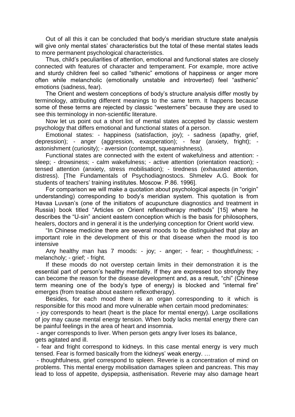Out of all this it can be concluded that body's meridian structure state analysis will give only mental states' characteristics but the total of these mental states leads to more permanent psychological characteristics.

Thus, child's peculiarities of attention, emotional and functional states are closely connected with features of character and temperament. For example, more active and sturdy children feel so called "sthenic" emotions of happiness or anger more often while melancholic (emotionally unstable and introverted) feel "asthenic" emotions (sadness, fear).

The Orient and western conceptions of body's structure analysis differ mostly by terminology, attributing different meanings to the same term. It happens because some of these terms are rejected by classic "westerners" because they are used to see this terminology in non-scientific literature.

Now let us point out a short list of mental states accepted by classic western psychology that differs emotional and functional states of a person.

Emotional states: - happiness (satisfaction, joy); - sadness (apathy, grief, depression); - anger (aggression, exasperation); - fear (anxiety, fright); astonishment (curiosity); - aversion (contempt, squeamishness).

Functional states are connected with the extent of wakefulness and attention: sleep; - drowsiness; - calm wakefulness; - active attention (orientation reaction); tensed attention (anxiety, stress mobilisation); - tiredness (exhausted attention, distress). [The Fundamentals of Psychodiagnostocs. Shmelev A.G. Book for students of teachers' training institutes. Moscow. P.86. 1996].

For comparison we will make a quotation about psychological aspects (in "origin" understanding) corresponding to body's meridian system. This quotation is from Havaa Luvsan's (one of the initiators of acupuncture diagnostics and treatment in Russia) book titled "Articles on Orient reflexotherapy methods" [15] where he describes the "U-sin" ancient eastern conception which is the basis for philosophers, healers, doctors and in general it is the underlying conception for Orient world view.

"In Chinese medicine there are several moods to be distinguished that play an important role in the development of this or that disease when the mood is too intensive

Any healthy man has 7 moods: - joy; - anger; - fear; - thoughtfulness; melancholy; - grief; - fright.

If these moods do not overstep certain limits in their demonstration it is the essential part of person's healthy mentality. If they are expressed too strongly they can become the reason for the disease development and, as a result, "chi" (Chinese term meaning one of the body's type of energy) is blocked and "internal fire" emerges (from treatise about eastern reflexotherapy).

Besides, for each mood there is an organ corresponding to it which is responsible for this mood and more vulnerable when certain mood predominates:

- joy corresponds to heart (heart is the place for mental energy). Large oscillations of joy may cause mental energy tension. When body lacks mental energy there can be painful feelings in the area of heart and insomnia.

- anger corresponds to liver. When person gets angry liver loses its balance, gets agitated and ill.

- fear and fright correspond to kidneys. In this case mental energy is very much tensed. Fear is formed basically from the kidneys' weak energy. …

- thoughtfulness, grief correspond to spleen. Reverie is a concentration of mind on problems. This mental energy mobilisation damages spleen and pancreas. This may lead to loss of appetite, dyspepsia, asthenisation. Reverie may also damage heart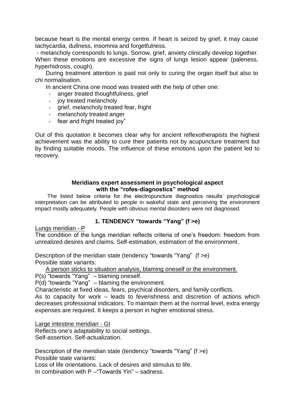because heart is the mental energy centre. If heart is seized by grief, it may cause tachycardia, dullness, insomnia and forgetfulness.

- melancholy corresponds to lungs. Sorrow, grief, anxiety clinically develop together. When these emotions are excessive the signs of lungs lesion appear (paleness, hyperhidrosis, cough).

During treatment attention is paid not only to curing the organ itself but also to chi normalisation.

In ancient China one mood was treated with the help of other one:

- anger treated thoughtfulness, grief
- joy treated melancholy
- grief, melancholy treated fear, fright
- melancholy treated anger
- fear and fright treated joy"

Out of this quotation it becomes clear why for ancient reflexotherapists the highest achievement was the ability to cure their patients not by acupuncture treatment but by finding suitable moods. The influence of these emotions upon the patient led to recovery.

#### **Meridians expert assessment in psychological aspect with the "rofes-diagnostics" method**

The listed below criteria for the electropuncture diagnostics results' psychological interpretation can be attributed to people in wakeful state and perceiving the environment impact mostly adequately. People with obvious mental disorders were not diagnosed.

# **1. TENDENCY "towards "Yang" (f >e)**

Lungs meridian - P

The condition of the lungs meridian reflects criteria of one's freedom: freedom from unrealized desires and claims. Self-estimation, estimation of the environment.

Description of the meridian state (tendency "towards "Yang" (f >e) Possible state variants:

A person sticks to situation analysis, blaming oneself or the environment.

P(s) "towards "Yang" – blaming oneself.

P(d) "towards "Yang" – blaming the environment.

Characteristic at fixed ideas, fears, psychical disorders, and family conflicts.

As to capacity for work – leads to feverishness and discretion of actions which decreases professional indicators. To maintain them at the normal level, extra energy expenses are required. It keeps a person in higher emotional stress.

Large intestine meridian - GI Reflects one's adaptability to social settings. Self-assertion. Self-actualization.

Description of the meridian state (tendency "towards "Yang" (f >e) Possible state variants:

Loss of life orientations. Lack of desires and stimulus to life.

In combination with P –"Towards Yin" – sadness.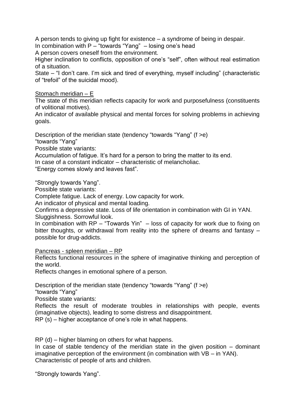A person tends to giving up fight for existence – a syndrome of being in despair.

In combination with P – "towards "Yang" – losing one's head

A person covers oneself from the environment.

Higher inclination to conflicts, opposition of one's "self", often without real estimation of a situation.

State – "I don't care. I'm sick and tired of everything, myself including" (characteristic of "trefoil" of the suicidal mood).

# Stomach meridian – E

The state of this meridian reflects capacity for work and purposefulness (constituents of volitional motives).

An indicator of available physical and mental forces for solving problems in achieving goals.

Description of the meridian state (tendency "towards "Yang" (f >e) "towards "Yang"

Possible state variants:

Accumulation of fatigue. It's hard for a person to bring the matter to its end.

In case of a constant indicator – characteristic of melancholiac.

"Energy comes slowly and leaves fast".

"Strongly towards Yang".

Possible state variants:

Complete fatigue. Lack of energy. Low capacity for work.

An indicator of physical and mental loading.

Confirms a depressive state. Loss of life orientation in combination with GI in YAN. Sluggishness. Sorrowful look.

In combination with RP – "Towards Yin" – loss of capacity for work due to fixing on bitter thoughts, or withdrawal from reality into the sphere of dreams and fantasy – possible for drug-addicts.

Pancreas - spleen meridian – RP

Reflects functional resources in the sphere of imaginative thinking and perception of the world.

Reflects changes in emotional sphere of a person.

Description of the meridian state (tendency "towards "Yang" (f >e)

"towards "Yang"

Possible state variants:

Reflects the result of moderate troubles in relationships with people, events (imaginative objects), leading to some distress and disappointment.

RP (s) – higher acceptance of one's role in what happens.

RP (d) – higher blaming on others for what happens.

In case of stable tendency of the meridian state in the given position  $-$  dominant imaginative perception of the environment (in combination with VB – in YAN). Characteristic of people of arts and children.

"Strongly towards Yang".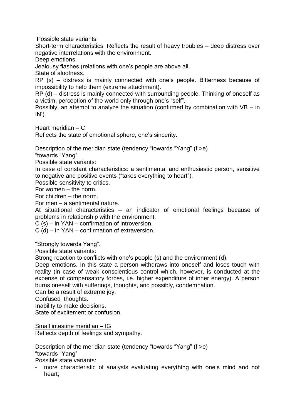Possible state variants:

Short-term characteristics. Reflects the result of heavy troubles – deep distress over negative interrelations with the environment.

Deep emotions.

Jealousy flashes (relations with one's people are above all.

State of aloofness.

RP (s) – distress is mainly connected with one's people. Bitterness because of impossibility to help them (extreme attachment).

RP (d) – distress is mainly connected with surrounding people. Thinking of oneself as a victim, perception of the world only through one's "self".

Possibly, an attempt to analyze the situation (confirmed by combination with VB – in  $IN$ ).

Heart meridian – C

Reflects the state of emotional sphere, one's sincerity.

Description of the meridian state (tendency "towards "Yang" (f >e)

"towards "Yang"

Possible state variants:

In case of constant characteristics: a sentimental and enthusiastic person, sensitive to negative and positive events ("takes everything to heart").

Possible sensitivity to critics.

For women – the norm.

For children – the norm.

For men – a sentimental nature.

At situational characteristics – an indicator of emotional feelings because of problems in relationship with the environment.

C (s) – in YAN – confirmation of introversion.

C (d) – in YAN – confirmation of extraversion.

"Strongly towards Yang".

Possible state variants:

Strong reaction to conflicts with one's people (s) and the environment (d).

Deep emotions. In this state a person withdraws into oneself and loses touch with reality (in case of weak conscientious control which, however, is conducted at the expense of compensatory forces, i.e. higher expenditure of inner energy). A person burns oneself with sufferings, thoughts, and possibly, condemnation.

Can be a result of extreme joy.

Confused thoughts.

Inability to make decisions.

State of excitement or confusion.

Small intestine meridian – IG

Reflects depth of feelings and sympathy.

Description of the meridian state (tendency "towards "Yang" (f >e) "towards "Yang"

Possible state variants:

more characteristic of analysts evaluating everything with one's mind and not heart;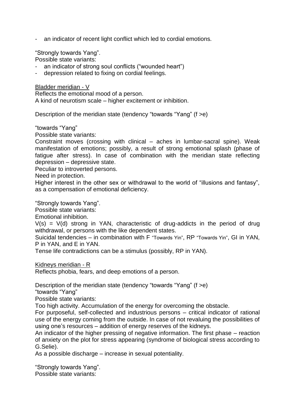- an indicator of recent light conflict which led to cordial emotions.

"Strongly towards Yang".

Possible state variants:

- an indicator of strong soul conflicts ("wounded heart")
- depression related to fixing on cordial feelings.

Bladder meridian - V Reflects the emotional mood of a person. A kind of neurotism scale – higher excitement or inhibition.

Description of the meridian state (tendency "towards "Yang" (f >e)

"towards "Yang"

Possible state variants:

Constraint moves (crossing with clinical – aches in lumbar-sacral spine). Weak manifestation of emotions; possibly, a result of strong emotional splash (phase of fatigue after stress). In case of combination with the meridian state reflecting depression – depressive state.

Peculiar to introverted persons.

Need in protection.

Higher interest in the other sex or withdrawal to the world of "illusions and fantasy", as a compensation of emotional deficiency.

"Strongly towards Yang".

Possible state variants:

Emotional inhibition.

 $V(s) = V(d)$  strong in YAN, characteristic of drug-addicts in the period of drug withdrawal, or persons with the like dependent states.

Suicidal tendencies – in combination with F "Towards Yin", RP "Towards Yin", GI in YAN, P in YAN, and E in YAN.

Tense life contradictions can be a stimulus (possibly, RP in YAN).

Kidneys meridian - R

Reflects phobia, fears, and deep emotions of a person.

Description of the meridian state (tendency "towards "Yang" (f >e)

"towards "Yang"

Possible state variants:

Too high activity. Accumulation of the energy for overcoming the obstacle.

For purposeful, self-collected and industrious persons – critical indicator of rational use of the energy coming from the outside. In case of not revaluing the possibilities of using one's resources – addition of energy reserves of the kidneys.

An indicator of the higher pressing of negative information. The first phase – reaction of anxiety on the plot for stress appearing (syndrome of biological stress according to G.Selie).

As a possible discharge – increase in sexual potentiality.

"Strongly towards Yang". Possible state variants: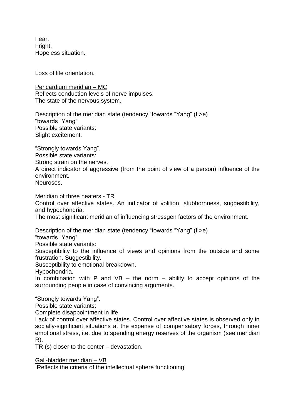Fear. Fright. Hopeless situation.

Loss of life orientation.

Pericardium meridian – MC Reflects conduction levels of nerve impulses. The state of the nervous system.

Description of the meridian state (tendency "towards "Yang" (f >e) "towards "Yang" Possible state variants: Slight excitement.

"Strongly towards Yang". Possible state variants: Strong strain on the nerves. A direct indicator of aggressive (from the point of view of a person) influence of the environment. Neuroses.

Meridian of three heaters - TR

Control over affective states. An indicator of volition, stubbornness, suggestibility, and hypochondria.

The most significant meridian of influencing stressgen factors of the environment.

Description of the meridian state (tendency "towards "Yang" (f >e)

"towards "Yang"

Possible state variants:

Susceptibility to the influence of views and opinions from the outside and some frustration. Suggestibility.

Susceptibility to emotional breakdown.

Hypochondria.

In combination with P and  $VB -$  the norm – ability to accept opinions of the surrounding people in case of convincing arguments.

"Strongly towards Yang".

Possible state variants:

Complete disappointment in life.

Lack of control over affective states. Control over affective states is observed only in socially-significant situations at the expense of compensatory forces, through inner emotional stress, i.e. due to spending energy reserves of the organism (see meridian R).

TR (s) closer to the center – devastation.

Gall-bladder meridian – VB

Reflects the criteria of the intellectual sphere functioning.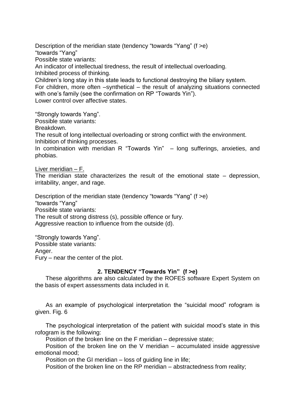Description of the meridian state (tendency "towards "Yang" (f >e) "towards "Yang" Possible state variants: An indicator of intellectual tiredness, the result of intellectual overloading. Inhibited process of thinking. Children's long stay in this state leads to functional destroying the biliary system.

For children, more often –synthetical – the result of analyzing situations connected with one's family (see the confirmation on RP "Towards Yin").

Lower control over affective states.

"Strongly towards Yang".

Possible state variants:

Breakdown.

The result of long intellectual overloading or strong conflict with the environment. Inhibition of thinking processes.

In combination with meridian R "Towards Yin" – long sufferings, anxieties, and phobias.

Liver meridian – F.

The meridian state characterizes the result of the emotional state – depression, irritability, anger, and rage.

Description of the meridian state (tendency "towards "Yang" (f >e) "towards "Yang" Possible state variants: The result of strong distress (s), possible offence or fury. Aggressive reaction to influence from the outside (d).

"Strongly towards Yang". Possible state variants: Anger. Fury – near the center of the plot.

# **2. TENDENCY "Towards Yin" (f >e)**

These algorithms are also calculated by the ROFES software Expert System on the basis of expert assessments data included in it.

As an example of psychological interpretation the "suicidal mood" rofogram is given. Fig. 6

The psychological interpretation of the patient with suicidal mood's state in this rofogram is the following:

Position of the broken line on the F meridian – depressive state;

Position of the broken line on the V meridian  $-$  accumulated inside aggressive emotional mood;

Position on the GI meridian – loss of guiding line in life;

Position of the broken line on the RP meridian – abstractedness from reality;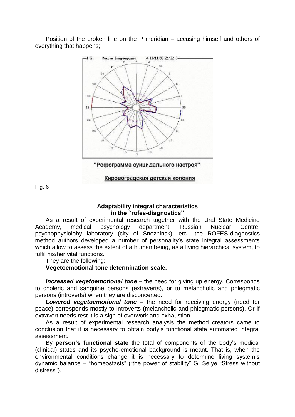Position of the broken line on the P meridian – accusing himself and others of everything that happens;



Fig. 6

#### **Adaptability integral characteristics in the "rofes-diagnostics"**

As a result of experimental research together with the Ural State Medicine Academy, medical psychology department, Russian Nuclear Centre, psychophysiolohy laboratory (city of Snezhinsk), etc., the ROFES-diagnostics method authors developed a number of personality's state integral assessments which allow to assess the extent of a human being, as a living hierarchical system, to fulfil his/her vital functions.

They are the following:

# **Vegetoemotional tone determination scale.**

*Increased vegetoemotional tone –* the need for giving up energy. Corresponds to choleric and sanguine persons (extraverts), or to melancholic and phlegmatic persons (introverts) when they are disconcerted.

*Lowered vegetoemotional tone –* the need for receiving energy (need for peace) corresponds mostly to introverts (melancholic and phlegmatic persons). Or if extravert needs rest it is a sign of overwork and exhaustion.

As a result of experimental research analysis the method creators came to conclusion that it is necessary to obtain body's functional state automated integral assessment.

By **person's functional state** the total of components of the body's medical (clinical) states and its psycho-emotional background is meant. That is, when the environmental conditions change it is necessary to determine living system's dynamic balance – "homeostasis" ("the power of stability" G. Selye "Stress without distress").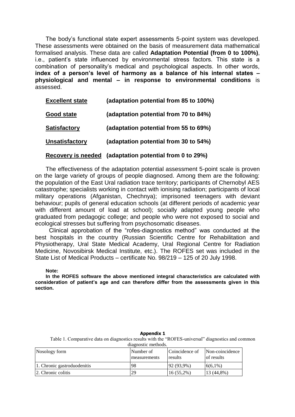The body's functional state expert assessments 5-point system was developed. These assessments were obtained on the basis of measurement data mathematical formalised analysis. These data are called **Adaptation Potential (from 0 to 100%)**, i.e., patient's state influenced by environmental stress factors. This state is a combination of personality's medical and psychological aspects. In other words, **index of a person's level of harmony as a balance of his internal states – physiological and mental – in response to environmental conditions** is assessed.

| <b>Excellent state</b> | (adaptation potential from 85 to 100%) |
|------------------------|----------------------------------------|
| <b>Good state</b>      | (adaptation potential from 70 to 84%)  |
| <b>Satisfactory</b>    | (adaptation potential from 55 to 69%)  |
| <b>Unsatisfactory</b>  | (adaptation potential from 30 to 54%)  |
|                        |                                        |

#### **Recovery is needed (adaptation potential from 0 to 29%)**

The effectiveness of the adaptation potential assessment 5-point scale is proven on the large variety of groups of people diagnosed. Among them are the following: the population of the East Ural radiation trace territory; participants of Chernobyl AES catastrophe; specialists working in contact with ionising radiation; participants of local military operations (Afganistan, Chechnya); imprisoned teenagers with deviant behaviour; pupils of general education schools (at different periods of academic year with different amount of load at school); socially adapted young people who graduated from pedagogic college; and people who were not exposed to social and ecological stresses but suffering from psychosomatic diseases.

 Clinical approbation of the "rofes-diagnostics method" was conducted at the best hospitals in the country (Russian Scientific Centre for Rehabilitation and Physiotherapy, Ural State Medical Academy, Ural Regional Centre for Radiation Medicine, Novosibirsk Medical Institute, etc.). The ROFES set was included in the State List of Medical Products – certificate No. 98/219 – 125 of 20 July 1998.

**Note:** 

**In the ROFES software the above mentioned integral characteristics are calculated with consideration of patient's age and can therefore differ from the assessments given in this section.**

| Appendix 1                                                                                         |  |  |  |  |
|----------------------------------------------------------------------------------------------------|--|--|--|--|
| Table 1. Comparative data on diagnostics results with the "ROFES-universal" diagnostics and common |  |  |  |  |
| diagnostic methods.                                                                                |  |  |  |  |
|                                                                                                    |  |  |  |  |

| Nosology form               | Number of<br>measurements | Coincidence of<br>results | Non-coincidence<br>of results |
|-----------------------------|---------------------------|---------------------------|-------------------------------|
| 1. Chronic gastroduodenitis | 98                        | $92(93.9\%)$              | $6(6.1\%)$                    |
| 2. Chronic colitis          | 29                        | $16(55,2\%)$              | 13 (44,8%)                    |